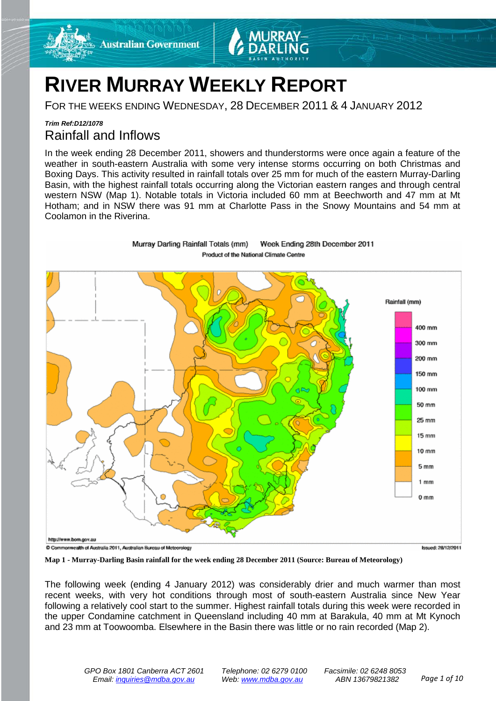

# **RIVER MURRAY WEEKLY REPORT**

FOR THE WEEKS ENDING WEDNESDAY, 28 DECEMBER 2011 & 4 JANUARY 2012

### *Trim Ref:D12/1078* Rainfall and Inflows

In the week ending 28 December 2011, showers and thunderstorms were once again a feature of the weather in south-eastern Australia with some very intense storms occurring on both Christmas and Boxing Days. This activity resulted in rainfall totals over 25 mm for much of the eastern Murray-Darling Basin, with the highest rainfall totals occurring along the Victorian eastern ranges and through central western NSW (Map 1). Notable totals in Victoria included 60 mm at Beechworth and 47 mm at Mt Hotham; and in NSW there was 91 mm at Charlotte Pass in the Snowy Mountains and 54 mm at Coolamon in the Riverina.



**Map 1 - Murray-Darling Basin rainfall for the week ending 28 December 2011 (Source: Bureau of Meteorology)**

The following week (ending 4 January 2012) was considerably drier and much warmer than most recent weeks, with very hot conditions through most of south-eastern Australia since New Year following a relatively cool start to the summer. Highest rainfall totals during this week were recorded in the upper Condamine catchment in Queensland including 40 mm at Barakula, 40 mm at Mt Kynoch and 23 mm at Toowoomba. Elsewhere in the Basin there was little or no rain recorded (Map 2).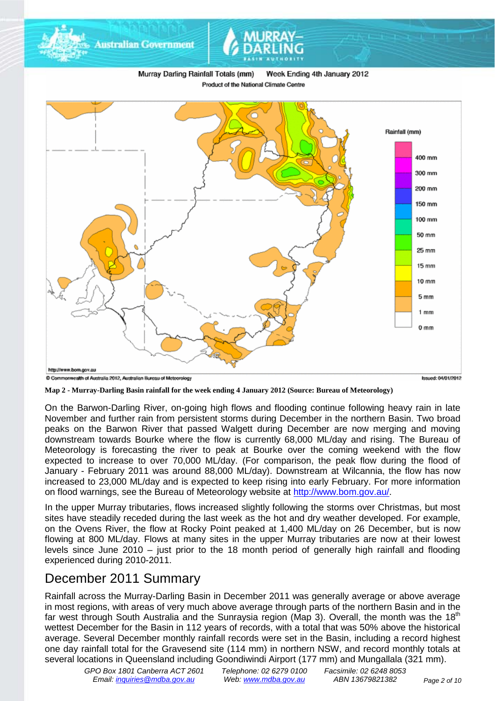

**Map 2 - Murray-Darling Basin rainfall for the week ending 4 January 2012 (Source: Bureau of Meteorology)**

On the Barwon-Darling River, on-going high flows and flooding continue following heavy rain in late November and further rain from persistent storms during December in the northern Basin. Two broad peaks on the Barwon River that passed Walgett during December are now merging and moving downstream towards Bourke where the flow is currently 68,000 ML/day and rising. The Bureau of Meteorology is forecasting the river to peak at Bourke over the coming weekend with the flow expected to increase to over 70,000 ML/day. (For comparison, the peak flow during the flood of January - February 2011 was around 88,000 ML/day). Downstream at Wilcannia, the flow has now increased to 23,000 ML/day and is expected to keep rising into early February. For more information on flood warnings, see the Bureau of Meteorology website at [http://www.bom.gov.au/.](http://www.bom.gov.au/)

In the upper Murray tributaries, flows increased slightly following the storms over Christmas, but most sites have steadily receded during the last week as the hot and dry weather developed. For example, on the Ovens River, the flow at Rocky Point peaked at 1,400 ML/day on 26 December, but is now flowing at 800 ML/day. Flows at many sites in the upper Murray tributaries are now at their lowest levels since June 2010 – just prior to the 18 month period of generally high rainfall and flooding experienced during 2010-2011.

## December 2011 Summary

Rainfall across the Murray-Darling Basin in December 2011 was generally average or above average in most regions, with areas of very much above average through parts of the northern Basin and in the far west through South Australia and the Sunraysia region (Map 3). Overall, the month was the 18<sup>th</sup> wettest December for the Basin in 112 years of records, with a total that was 50% above the historical average. Several December monthly rainfall records were set in the Basin, including a record highest one day rainfall total for the Gravesend site (114 mm) in northern NSW, and record monthly totals at several locations in Queensland including Goondiwindi Airport (177 mm) and Mungallala (321 mm).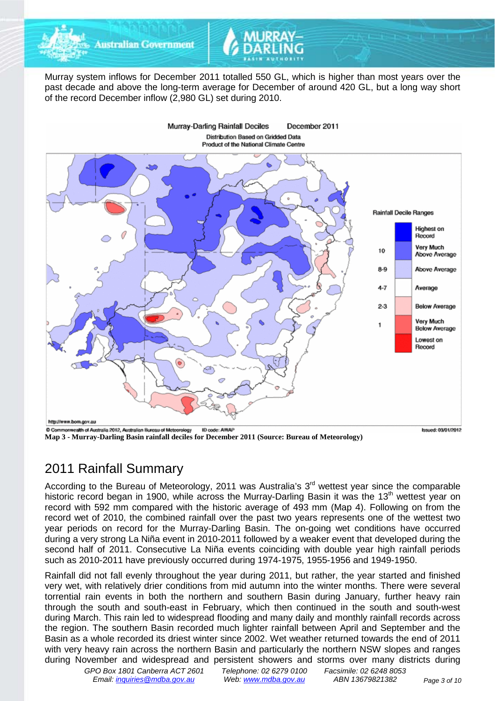

Murray system inflows for December 2011 totalled 550 GL, which is higher than most years over the past decade and above the long-term average for December of around 420 GL, but a long way short of the record December inflow (2,980 GL) set during 2010.



**Map 3 - Murray-Darling Basin rainfall deciles for December 2011 (Source: Bureau of Meteorology)**

#### Issued: 03/01/2012

## 2011 Rainfall Summary

According to the Bureau of Meteorology, 2011 was Australia's  $3<sup>rd</sup>$  wettest year since the comparable historic record began in 1900, while across the Murray-Darling Basin it was the 13<sup>th</sup> wettest year on record with 592 mm compared with the historic average of 493 mm (Map 4). Following on from the record wet of 2010, the combined rainfall over the past two years represents one of the wettest two year periods on record for the Murray-Darling Basin. The on-going wet conditions have occurred during a very strong La Niña event in 2010-2011 followed by a weaker event that developed during the second half of 2011. Consecutive La Niña events coinciding with double year high rainfall periods such as 2010-2011 have previously occurred during 1974-1975, 1955-1956 and 1949-1950.

Rainfall did not fall evenly throughout the year during 2011, but rather, the year started and finished very wet, with relatively drier conditions from mid autumn into the winter months. There were several torrential rain events in both the northern and southern Basin during January, further heavy rain through the south and south-east in February, which then continued in the south and south-west during March. This rain led to widespread flooding and many daily and monthly rainfall records across the region. The southern Basin recorded much lighter rainfall between April and September and the Basin as a whole recorded its driest winter since 2002. Wet weather returned towards the end of 2011 with very heavy rain across the northern Basin and particularly the northern NSW slopes and ranges during November and widespread and persistent showers and storms over many districts during

*GPO Box 1801 Canberra ACT 2601 Telephone: 02 6279 0100 Facsimile: 02 6248 8053 Email: [inquiries@mdba.gov.au](mailto:inquiries@mdba.gov.au) Web: [www.mdba.gov.au](http://www.mdba.gov.au/) ABN 13679821382 Page 3 of 10*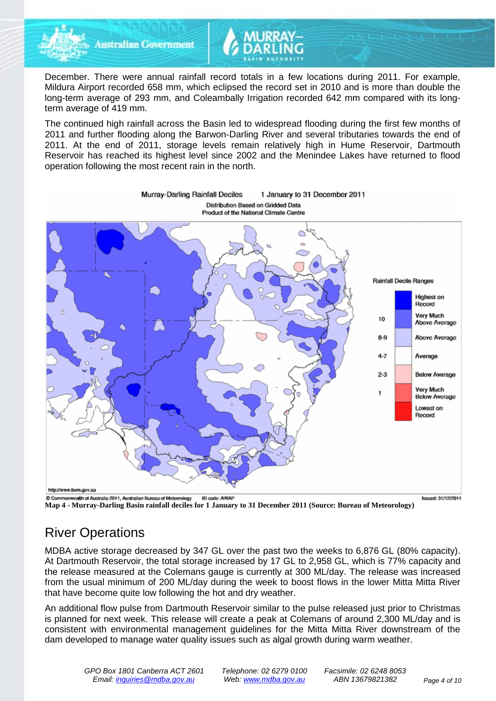

**Australian Government** 

December. There were annual rainfall record totals in a few locations during 2011. For example, Mildura Airport recorded 658 mm, which eclipsed the record set in 2010 and is more than double the long-term average of 293 mm, and Coleambally Irrigation recorded 642 mm compared with its longterm average of 419 mm.

The continued high rainfall across the Basin led to widespread flooding during the first few months of 2011 and further flooding along the Barwon-Darling River and several tributaries towards the end of 2011. At the end of 2011, storage levels remain relatively high in Hume Reservoir, Dartmouth Reservoir has reached its highest level since 2002 and the Menindee Lakes have returned to flood operation following the most recent rain in the north.



Murray-Darling Rainfall Deciles 1 January to 31 December 2011 Distribution Based on Gridded Data

**Map 4 - Murray-Darling Basin rainfall deciles for 1 January to 31 December 2011 (Source: Bureau of Meteorology)**

## River Operations

MDBA active storage decreased by 347 GL over the past two the weeks to 6,876 GL (80% capacity). At Dartmouth Reservoir, the total storage increased by 17 GL to 2,958 GL, which is 77% capacity and the release measured at the Colemans gauge is currently at 300 ML/day. The release was increased from the usual minimum of 200 ML/day during the week to boost flows in the lower Mitta Mitta River that have become quite low following the hot and dry weather.

An additional flow pulse from Dartmouth Reservoir similar to the pulse released just prior to Christmas is planned for next week. This release will create a peak at Colemans of around 2,300 ML/day and is consistent with environmental management guidelines for the Mitta Mitta River downstream of the dam developed to manage water quality issues such as algal growth during warm weather.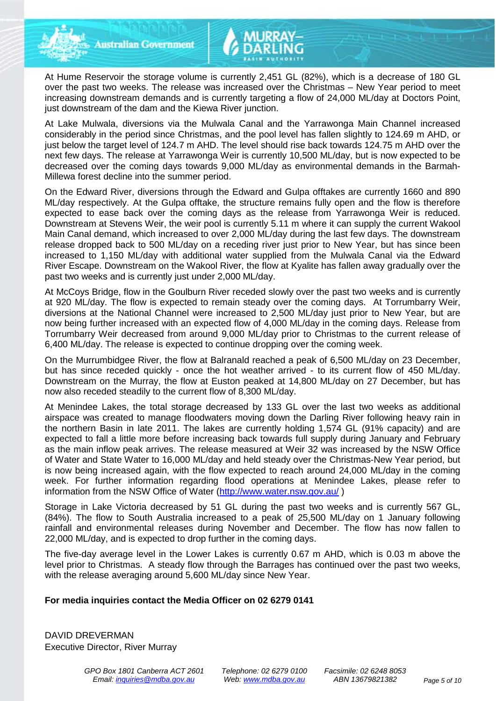At Hume Reservoir the storage volume is currently 2,451 GL (82%), which is a decrease of 180 GL over the past two weeks. The release was increased over the Christmas – New Year period to meet increasing downstream demands and is currently targeting a flow of 24,000 ML/day at Doctors Point, just downstream of the dam and the Kiewa River junction.

At Lake Mulwala, diversions via the Mulwala Canal and the Yarrawonga Main Channel increased considerably in the period since Christmas, and the pool level has fallen slightly to 124.69 m AHD, or just below the target level of 124.7 m AHD. The level should rise back towards 124.75 m AHD over the next few days. The release at Yarrawonga Weir is currently 10,500 ML/day, but is now expected to be decreased over the coming days towards 9,000 ML/day as environmental demands in the Barmah-Millewa forest decline into the summer period.

On the Edward River, diversions through the Edward and Gulpa offtakes are currently 1660 and 890 ML/day respectively. At the Gulpa offtake, the structure remains fully open and the flow is therefore expected to ease back over the coming days as the release from Yarrawonga Weir is reduced. Downstream at Stevens Weir, the weir pool is currently 5.11 m where it can supply the current Wakool Main Canal demand, which increased to over 2,000 ML/day during the last few days. The downstream release dropped back to 500 ML/day on a receding river just prior to New Year, but has since been increased to 1,150 ML/day with additional water supplied from the Mulwala Canal via the Edward River Escape. Downstream on the Wakool River, the flow at Kyalite has fallen away gradually over the past two weeks and is currently just under 2,000 ML/day.

At McCoys Bridge, flow in the Goulburn River receded slowly over the past two weeks and is currently at 920 ML/day. The flow is expected to remain steady over the coming days. At Torrumbarry Weir, diversions at the National Channel were increased to 2,500 ML/day just prior to New Year, but are now being further increased with an expected flow of 4,000 ML/day in the coming days. Release from Torrumbarry Weir decreased from around 9,000 ML/day prior to Christmas to the current release of 6,400 ML/day. The release is expected to continue dropping over the coming week.

On the Murrumbidgee River, the flow at Balranald reached a peak of 6,500 ML/day on 23 December, but has since receded quickly - once the hot weather arrived - to its current flow of 450 ML/day. Downstream on the Murray, the flow at Euston peaked at 14,800 ML/day on 27 December, but has now also receded steadily to the current flow of 8,300 ML/day.

At Menindee Lakes, the total storage decreased by 133 GL over the last two weeks as additional airspace was created to manage floodwaters moving down the Darling River following heavy rain in the northern Basin in late 2011. The lakes are currently holding 1,574 GL (91% capacity) and are expected to fall a little more before increasing back towards full supply during January and February as the main inflow peak arrives. The release measured at Weir 32 was increased by the NSW Office of Water and State Water to 16,000 ML/day and held steady over the Christmas-New Year period, but is now being increased again, with the flow expected to reach around 24,000 ML/day in the coming week. For further information regarding flood operations at Menindee Lakes, please refer to information from the NSW Office of Water [\(http://www.water.nsw.gov.au/](http://www.water.nsw.gov.au/) )

Storage in Lake Victoria decreased by 51 GL during the past two weeks and is currently 567 GL, (84%). The flow to South Australia increased to a peak of 25,500 ML/day on 1 January following rainfall and environmental releases during November and December. The flow has now fallen to 22,000 ML/day, and is expected to drop further in the coming days.

The five-day average level in the Lower Lakes is currently 0.67 m AHD, which is 0.03 m above the level prior to Christmas. A steady flow through the Barrages has continued over the past two weeks, with the release averaging around 5,600 ML/day since New Year.

#### **For media inquiries contact the Media Officer on 02 6279 0141**

DAVID DREVERMAN Executive Director, River Murray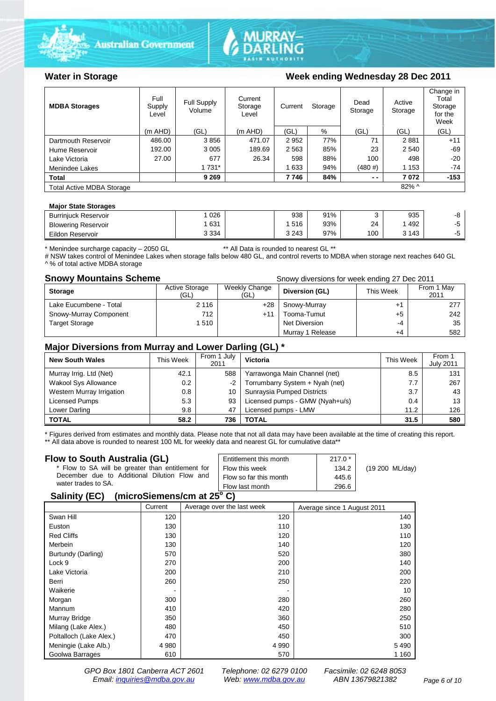



### Water in Storage Week ending Wednesday 28 Dec 2011

| <b>MDBA Storages</b>             | Full<br>Supply<br>Level | Full Supply<br>Volume | Current<br>Storage<br>Level | Storage<br>Current |     | Dead<br>Storage | Active<br>Storage | Change in<br>Total<br>Storage<br>for the<br>Week |
|----------------------------------|-------------------------|-----------------------|-----------------------------|--------------------|-----|-----------------|-------------------|--------------------------------------------------|
|                                  | $(m$ AHD)               | (GL)                  | $(m$ AHD)                   | (GL)               | %   | (GL)            | (GL)              | (GL)                                             |
| Dartmouth Reservoir              | 486.00                  | 3856                  | 471.07                      | 2952               | 77% | 71              | 2881              | $+11$                                            |
| Hume Reservoir                   | 192.00                  | 3 0 0 5               | 189.69                      | 2 5 6 3            | 85% | 23              | 2 5 4 0           | $-69$                                            |
| Lake Victoria                    | 27.00                   | 677                   | 26.34                       | 598                | 88% | 100             | 498               | $-20$                                            |
| Menindee Lakes                   |                         | 1 731*                |                             | 1 633              | 94% | (480#)          | 1 1 5 3           | -74                                              |
| <b>Total</b>                     |                         | 9 2 6 9               |                             | 7746               | 84% | $ -$            | 7072              | $-153$                                           |
| <b>Total Active MDBA Storage</b> |                         |                       |                             |                    |     |                 | $82\%$ ^          |                                                  |

#### **Major State Storages**

| <b>Burrinjuck Reservoir</b> | 026     | 938     | 91% |     | 935     | -0- |
|-----------------------------|---------|---------|-----|-----|---------|-----|
| <b>Blowering Reservoir</b>  | 631     | 516     | 93% | 24  | 492     |     |
| Eildon Reservoir            | 3 3 3 4 | 3 2 4 3 | 97% | 100 | 3 1 4 3 |     |

\* Menindee surcharge capacity – 2050 GL \*\* All Data is rounded to nearest GL \*\*

# NSW takes control of Menindee Lakes when storage falls below 480 GL, and control reverts to MDBA when storage next reaches 640 GL ^ % of total active MDBA storage

**Snowy Mountains Scheme Snowy diversions for week ending 27 Dec 2011** 

| <b>Storage</b>         | <b>Active Storage</b><br>'GL) | Weekly Change<br>(GL) | Diversion (GL)   | This Week | From 1 May<br>2011 |
|------------------------|-------------------------------|-----------------------|------------------|-----------|--------------------|
| Lake Eucumbene - Total | 2 1 1 6                       | $+28$                 | Snowy-Murray     |           | 277                |
| Snowy-Murray Component | 712                           | +11                   | Tooma-Tumut      | +5        | 242                |
| <b>Target Storage</b>  | 1510                          |                       | Net Diversion    | -4        | 35                 |
|                        |                               |                       | Murray 1 Release | +4        | 582                |

### **Major Diversions from Murray and Lower Darling (GL) \***

| <b>New South Wales</b>    | This Week | From 1 July<br>2011 | Victoria                        | This Week | From 1<br><b>July 2011</b> |
|---------------------------|-----------|---------------------|---------------------------------|-----------|----------------------------|
| Murray Irrig. Ltd (Net)   | 42.1      | 588                 | Yarrawonga Main Channel (net)   | 8.5       | 131                        |
| Wakool Sys Allowance      | 0.2       | -2                  | Torrumbarry System + Nyah (net) | 7.7       | 267                        |
| Western Murray Irrigation | 0.8       | 10                  | Sunraysia Pumped Districts      | 3.7       | 43                         |
| Licensed Pumps            | 5.3       | 93                  | Licensed pumps - GMW (Nyah+u/s) | 0.4       | 13                         |
| Lower Darling             | 9.8       | 47                  | Licensed pumps - LMW            | 11.2      | 126                        |
| <b>TOTAL</b>              | 58.2      | 736                 | TOTAL                           | 31.5      | 580                        |

\* Figures derived from estimates and monthly data. Please note that not all data may have been available at the time of creating this report. \*\* All data above is rounded to nearest 100 ML for weekly data and nearest GL for cumulative data\*\*

#### **Flow to South Australia (GL)**

| Flow to South Australia (GL)                                    | Entitlement this month | $217.0*$ | (19 200 ML/day) |
|-----------------------------------------------------------------|------------------------|----------|-----------------|
| * Flow to SA will be greater than entitlement for               | Flow this week         | 134.2    |                 |
| December due to Additional Dilution Flow and                    | Flow so far this month | 445.6    |                 |
| water trades to SA.                                             | Flow last month        | 296.6    |                 |
| $P_{\text{ell}}(t_1, t_2, t_3)$ (missepiementlem of $\Omega(P)$ |                        |          |                 |

#### **Salinity (EC) (microSiemens/cm at 25o C)**

|                         | Current | Average over the last week | Average since 1 August 2011 |
|-------------------------|---------|----------------------------|-----------------------------|
| Swan Hill               | 120     | 120                        | 140                         |
| Euston                  | 130     | 110                        | 130                         |
| <b>Red Cliffs</b>       | 130     | 120                        | 110                         |
| Merbein                 | 130     | 140                        | 120                         |
| Burtundy (Darling)      | 570     | 520                        | 380                         |
| Lock 9                  | 270     | 200                        | 140                         |
| Lake Victoria           | 200     | 210                        | 200                         |
| Berri                   | 260     | 250                        | 220                         |
| Waikerie                | ۰       |                            | 10                          |
| Morgan                  | 300     | 280                        | 260                         |
| Mannum                  | 410     | 420                        | 280                         |
| Murray Bridge           | 350     | 360                        | 250                         |
| Milang (Lake Alex.)     | 480     | 450                        | 510                         |
| Poltalloch (Lake Alex.) | 470     | 450                        | 300                         |
| Meningie (Lake Alb.)    | 4 9 8 0 | 4 9 9 0                    | 5490                        |
| Goolwa Barrages         | 610     | 570                        | 1 1 6 0                     |

*GPO Box 1801 Canberra ACT 2601 Telephone: 02 6279 0100 Facsimile: 02 6248 8053 Email: [inquiries@mdba.gov.au](mailto:inquiries@mdba.gov.au) Web: [www.mdba.gov.au](http://www.mdba.gov.au/) ABN 13679821382 Page 6 of 10*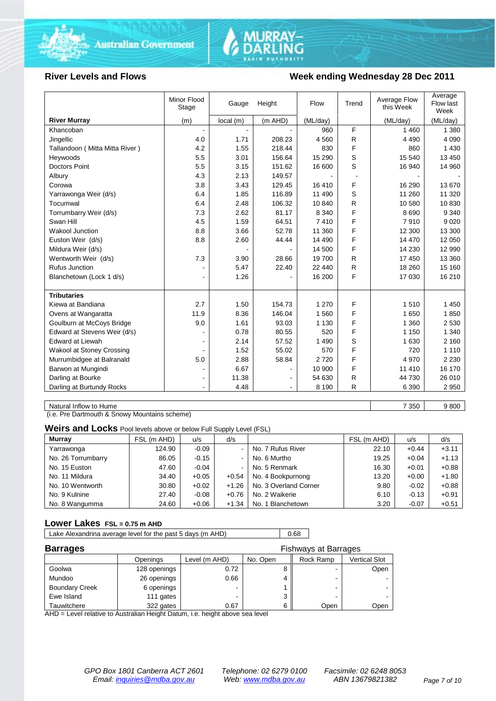



#### **River Levels and Flows Week ending Wednesday 28 Dec 2011**

|                                  | Minor Flood<br>Stage | Gauge    | Height  | Flow     | Trend | Average Flow<br>this Week | Average<br>Flow last<br>Week |
|----------------------------------|----------------------|----------|---------|----------|-------|---------------------------|------------------------------|
| <b>River Murray</b>              | (m)                  | local(m) | (m AHD) | (ML/day) |       | (ML/day)                  | (ML/day)                     |
| Khancoban                        |                      |          |         | 960      | F     | 1 4 6 0                   | 1 3 8 0                      |
| Jingellic                        | 4.0                  | 1.71     | 208.23  | 4560     | R     | 4 4 9 0                   | 4 0 9 0                      |
| Tallandoon (Mitta Mitta River)   | 4.2                  | 1.55     | 218.44  | 830      | F     | 860                       | 1 4 3 0                      |
| Heywoods                         | 5.5                  | 3.01     | 156.64  | 15 290   | S     | 15 540                    | 13 450                       |
| <b>Doctors Point</b>             | 5.5                  | 3.15     | 151.62  | 16 600   | S     | 16 940                    | 14 960                       |
| Albury                           | 4.3                  | 2.13     | 149.57  |          |       |                           |                              |
| Corowa                           | 3.8                  | 3.43     | 129.45  | 16 410   | F     | 16 290                    | 13 670                       |
| Yarrawonga Weir (d/s)            | 6.4                  | 1.85     | 116.89  | 11 490   | S     | 11 260                    | 11 320                       |
| Tocumwal                         | 6.4                  | 2.48     | 106.32  | 10 840   | R     | 10 580                    | 10830                        |
| Torrumbarry Weir (d/s)           | 7.3                  | 2.62     | 81.17   | 8 3 4 0  | F     | 8690                      | 9 3 4 0                      |
| Swan Hill                        | 4.5                  | 1.59     | 64.51   | 7410     | F     | 7910                      | 9 0 2 0                      |
| Wakool Junction                  | 8.8                  | 3.66     | 52.78   | 11 360   | F     | 12 300                    | 13 300                       |
| Euston Weir (d/s)                | 8.8                  | 2.60     | 44.44   | 14 490   | F     | 14 470                    | 12 050                       |
| Mildura Weir (d/s)               |                      |          |         | 14 500   | F     | 14 230                    | 12 990                       |
| Wentworth Weir (d/s)             | 7.3                  | 3.90     | 28.66   | 19700    | R     | 17 450                    | 13 3 60                      |
| <b>Rufus Junction</b>            |                      | 5.47     | 22.40   | 22 440   | R     | 18 260                    | 15 160                       |
| Blanchetown (Lock 1 d/s)         | $\blacksquare$       | 1.26     |         | 16 200   | F     | 17 030                    | 16 210                       |
|                                  |                      |          |         |          |       |                           |                              |
| <b>Tributaries</b>               |                      |          |         |          |       |                           |                              |
| Kiewa at Bandiana                | 2.7                  | 1.50     | 154.73  | 1 270    | F     | 1510                      | 1 4 5 0                      |
| Ovens at Wangaratta              | 11.9                 | 8.36     | 146.04  | 1560     | F     | 1650                      | 1850                         |
| Goulburn at McCoys Bridge        | 9.0                  | 1.61     | 93.03   | 1 1 3 0  | F     | 1 3 6 0                   | 2 5 3 0                      |
| Edward at Stevens Weir (d/s)     |                      | 0.78     | 80.55   | 520      | F     | 1 1 5 0                   | 1 3 4 0                      |
| <b>Edward at Liewah</b>          |                      | 2.14     | 57.52   | 1 4 9 0  | S     | 1 6 3 0                   | 2 1 6 0                      |
| <b>Wakool at Stoney Crossing</b> |                      | 1.52     | 55.02   | 570      | F     | 720                       | 1 1 1 0                      |
| Murrumbidgee at Balranald        | 5.0                  | 2.88     | 58.84   | 2720     | F     | 4 9 7 0                   | 2 2 3 0                      |
| Barwon at Mungindi               |                      | 6.67     |         | 10 900   | F     | 11 410                    | 16 170                       |
| Darling at Bourke                | $\blacksquare$       | 11.38    |         | 54 630   | R     | 44 730                    | 26 010                       |
| Darling at Burtundy Rocks        |                      | 4.48     |         | 8 1 9 0  | R     | 6 3 9 0                   | 2 9 5 0                      |

Natural Inflow to Hume 9 800

(i.e. Pre Dartmouth & Snowy Mountains scheme)

**Weirs and Locks** Pool levels above or below Full Supply Level (FSL)

| <b>Murray</b>      | FSL (m AHD) | u/s     | d/s     |                       | FSL (m AHD) | u/s     | d/s     |
|--------------------|-------------|---------|---------|-----------------------|-------------|---------|---------|
| Yarrawonga         | 124.90      | $-0.09$ | $\sim$  | No. 7 Rufus River     | 22.10       | $+0.44$ | $+3.11$ |
| No. 26 Torrumbarry | 86.05       | $-0.15$ | $\sim$  | No. 6 Murtho          | 19.25       | $+0.04$ | $+1.13$ |
| No. 15 Euston      | 47.60       | $-0.04$ | $\sim$  | No. 5 Renmark         | 16.30       | $+0.01$ | $+0.88$ |
| No. 11 Mildura     | 34.40       | $+0.05$ | $+0.54$ | No. 4 Bookpurnong     | 13.20       | $+0.00$ | $+1.80$ |
| No. 10 Wentworth   | 30.80       | $+0.02$ | $+1.26$ | No. 3 Overland Corner | 9.80        | $-0.02$ | $+0.88$ |
| No. 9 Kulnine      | 27.40       | $-0.08$ | $+0.76$ | No. 2 Waikerie        | 6.10        | $-0.13$ | $+0.91$ |
| No. 8 Wangumma     | 24.60       | $+0.06$ | $+1.34$ | No. 1 Blanchetown     | 3.20        | $-0.07$ | $+0.51$ |

#### **Lower Lakes FSL = 0.75 m AHD**

Lake Alexandrina average level for the past 5 days (m AHD) 0.68

| <b>Barrages</b>       | Fishways at Barrages |               |          |           |               |  |  |
|-----------------------|----------------------|---------------|----------|-----------|---------------|--|--|
|                       | Openings             | Level (m AHD) | No. Open | Rock Ramp | Vertical Slot |  |  |
| Goolwa                | 128 openings         | 0.72          |          |           | Open          |  |  |
| Mundoo                | 26 openings          | 0.66          |          | -         |               |  |  |
| <b>Boundary Creek</b> | 6 openings           |               |          |           |               |  |  |
| Ewe Island            | 111 gates            |               |          |           |               |  |  |
| Tauwitchere           | 322 gates            | 0.67          |          | Open      | Open          |  |  |

AHD = Level relative to Australian Height Datum, i.e. height above sea level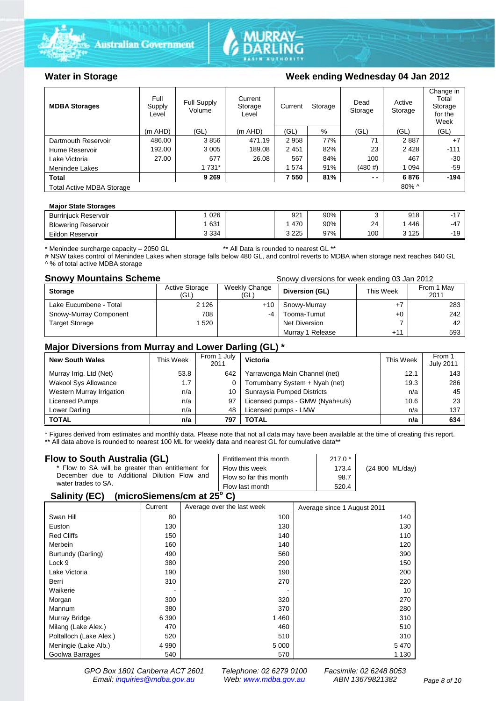



### Water in Storage Week ending Wednesday 04 Jan 2012

| <b>MDBA Storages</b>             | Full<br>Supply<br>Level | Full Supply<br>Volume | Current<br>Storage<br>Level | Storage<br>Current |     | Dead<br>Storage | Active<br>Storage | Change in<br>Total<br>Storage<br>for the<br>Week |
|----------------------------------|-------------------------|-----------------------|-----------------------------|--------------------|-----|-----------------|-------------------|--------------------------------------------------|
|                                  | $(m$ AHD)               | (GL)                  | $(m$ AHD)                   | (GL)               | %   | (GL)            | (GL)              | (GL)                                             |
| Dartmouth Reservoir              | 486.00                  | 3856                  | 471.19                      | 2958               | 77% | 71              | 2887              | $+7$                                             |
| Hume Reservoir                   | 192.00                  | 3 0 0 5               | 189.08                      | 2451               | 82% | 23              | 2428              | $-111$                                           |
| Lake Victoria                    | 27.00                   | 677                   | 26.08                       | 567                | 84% | 100             | 467               | $-30$                                            |
| Menindee Lakes                   |                         | 1 731*                |                             | 1574               | 91% | (480#)          | 1 0 9 4           | $-59$                                            |
| <b>Total</b>                     |                         | 9 2 6 9               |                             | 7 550              | 81% | $ -$            | 6876              | $-194$                                           |
| <b>Total Active MDBA Storage</b> |                         |                       |                             |                    |     |                 | $80\%$ ^          |                                                  |

#### **Major State Storages**

| <b>Burrinjuck Reservoir</b> | 026     | 921     | 90% |     | 918 | . –<br>-                        |
|-----------------------------|---------|---------|-----|-----|-----|---------------------------------|
| <b>Blowering Reservoir</b>  | 631     | 470     | 90% | 24  | 446 | $-47$                           |
| Eildon Reservoir            | 3 3 3 4 | 3 2 2 5 | 97% | 100 | 125 | $\overline{A}$<br>ч<br>- 1<br>◡ |

\* Menindee surcharge capacity – 2050 GL \*\* All Data is rounded to nearest GL \*\*

# NSW takes control of Menindee Lakes when storage falls below 480 GL, and control reverts to MDBA when storage next reaches 640 GL ^ % of total active MDBA storage

**Snowy Mountains Scheme Snowy diversions for week ending 03 Jan 2012** 

| <b>Storage</b>         | <b>Active Storage</b><br>(GL) | Weekly Change<br>(GL) | Diversion (GL)   | This Week | From 1 May<br>2011 |
|------------------------|-------------------------------|-----------------------|------------------|-----------|--------------------|
| Lake Eucumbene - Total | 2 1 2 6                       | $+10$                 | Snowy-Murray     |           | 283                |
| Snowy-Murray Component | 708                           | -4                    | Tooma-Tumut      | $+0$      | 242                |
| <b>Target Storage</b>  | 1520                          |                       | Net Diversion    |           | 42                 |
|                        |                               |                       | Murray 1 Release | $+11$     | 593                |

### **Major Diversions from Murray and Lower Darling (GL) \***

| <b>New South Wales</b>    | This Week | From 1 July<br>2011 | <b>Victoria</b>                 | This Week | From 1<br><b>July 2011</b> |
|---------------------------|-----------|---------------------|---------------------------------|-----------|----------------------------|
| Murray Irrig. Ltd (Net)   | 53.8      | 642                 | Yarrawonga Main Channel (net)   | 12.1      | 143                        |
| Wakool Sys Allowance      | 1.7       |                     | Torrumbarry System + Nyah (net) | 19.3      | 286                        |
| Western Murray Irrigation | n/a       | 10                  | Sunraysia Pumped Districts      | n/a       | 45                         |
| Licensed Pumps            | n/a       | 97                  | Licensed pumps - GMW (Nyah+u/s) | 10.6      | 23                         |
| Lower Darling             | n/a       | 48                  | Licensed pumps - LMW            | n/a       | 137                        |
| <b>TOTAL</b>              | n/a       | 797                 | TOTAL                           | n/a       | 634                        |

\* Figures derived from estimates and monthly data. Please note that not all data may have been available at the time of creating this report. \*\* All data above is rounded to nearest 100 ML for weekly data and nearest GL for cumulative data\*\*

#### **Flow to South Australia (GL)**

| Flow to South Australia (GL)<br>* Flow to SA will be greater than entitlement for<br>December due to Additional Dilution Flow and<br>water trades to SA. | Entitlement this month<br>Flow this week<br>Flow so far this month | $217.0*$<br>173.4<br>98.7 | (24 800 ML/day) |
|----------------------------------------------------------------------------------------------------------------------------------------------------------|--------------------------------------------------------------------|---------------------------|-----------------|
| $P_{\text{ell}}(t_1, t_2, t_3)$ (missepiementlem of $\Omega(P)$                                                                                          | Flow last month                                                    | 520.4                     |                 |

#### **Salinity (EC) (microSiemens/cm at 25o C)**

|                         | Current | Average over the last week | Average since 1 August 2011 |
|-------------------------|---------|----------------------------|-----------------------------|
| Swan Hill               | 80      | 100                        | 140                         |
| Euston                  | 130     | 130                        | 130                         |
| <b>Red Cliffs</b>       | 150     | 140                        | 110                         |
| Merbein                 | 160     | 140                        | 120                         |
| Burtundy (Darling)      | 490     | 560                        | 390                         |
| Lock 9                  | 380     | 290                        | 150                         |
| Lake Victoria           | 190     | 190                        | 200                         |
| Berri                   | 310     | 270                        | 220                         |
| Waikerie                |         |                            | 10                          |
| Morgan                  | 300     | 320                        | 270                         |
| Mannum                  | 380     | 370                        | 280                         |
| Murray Bridge           | 6 3 9 0 | 1460                       | 310                         |
| Milang (Lake Alex.)     | 470     | 460                        | 510                         |
| Poltalloch (Lake Alex.) | 520     | 510                        | 310                         |
| Meningie (Lake Alb.)    | 4 9 9 0 | 5 0 0 0                    | 5470                        |
| Goolwa Barrages         | 540     | 570                        | 1 1 3 0                     |

*GPO Box 1801 Canberra ACT 2601 Telephone: 02 6279 0100 Facsimile: 02 6248 8053 Email: [inquiries@mdba.gov.au](mailto:inquiries@mdba.gov.au) Web: [www.mdba.gov.au](http://www.mdba.gov.au/) ABN 13679821382 Page 8 of 10*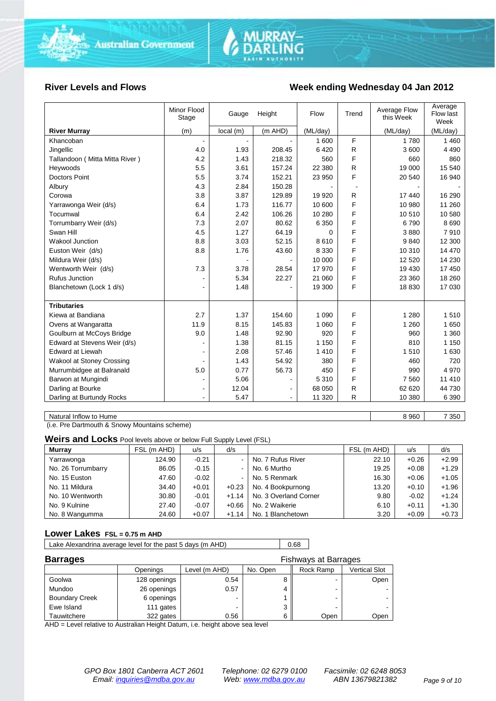

#### **River Levels and Flows Week ending Wednesday 04 Jan 2012**

|                                | Minor Flood<br>Stage | Gauge    | Height    | Flow     | Trend | Average Flow<br>this Week | Average<br>Flow last<br>Week |
|--------------------------------|----------------------|----------|-----------|----------|-------|---------------------------|------------------------------|
| <b>River Murray</b>            | (m)                  | local(m) | $(m$ AHD) | (ML/day) |       | (ML/day)                  | (ML/day)                     |
| Khancoban                      | $\blacksquare$       |          |           | 1 600    | F     | 1 7 8 0                   | 1 4 6 0                      |
| Jingellic                      | 4.0                  | 1.93     | 208.45    | 6420     | R     | 3600                      | 4 4 9 0                      |
| Tallandoon (Mitta Mitta River) | 4.2                  | 1.43     | 218.32    | 560      | F     | 660                       | 860                          |
| Heywoods                       | 5.5                  | 3.61     | 157.24    | 22 380   | R     | 19 000                    | 15 540                       |
| <b>Doctors Point</b>           | 5.5                  | 3.74     | 152.21    | 23 950   | F     | 20 540                    | 16 940                       |
| Albury                         | 4.3                  | 2.84     | 150.28    |          |       |                           |                              |
| Corowa                         | 3.8                  | 3.87     | 129.89    | 19 9 20  | R     | 17 440                    | 16 290                       |
| Yarrawonga Weir (d/s)          | 6.4                  | 1.73     | 116.77    | 10 600   | F     | 10 980                    | 11 260                       |
| Tocumwal                       | 6.4                  | 2.42     | 106.26    | 10 280   | F     | 10 510                    | 10 580                       |
| Torrumbarry Weir (d/s)         | 7.3                  | 2.07     | 80.62     | 6 3 5 0  | F     | 6790                      | 8690                         |
| Swan Hill                      | 4.5                  | 1.27     | 64.19     | 0        | F     | 3880                      | 7910                         |
| Wakool Junction                | 8.8                  | 3.03     | 52.15     | 8610     | F     | 9840                      | 12 300                       |
| Euston Weir (d/s)              | 8.8                  | 1.76     | 43.60     | 8 3 3 0  | F     | 10 310                    | 14 470                       |
| Mildura Weir (d/s)             |                      |          |           | 10 000   | F     | 12 5 20                   | 14 2 30                      |
| Wentworth Weir (d/s)           | 7.3                  | 3.78     | 28.54     | 17 970   | F     | 19 430                    | 17 450                       |
| <b>Rufus Junction</b>          |                      | 5.34     | 22.27     | 21 060   | F     | 23 360                    | 18 260                       |
| Blanchetown (Lock 1 d/s)       | $\blacksquare$       | 1.48     |           | 19 300   | F     | 18 8 30                   | 17 030                       |
|                                |                      |          |           |          |       |                           |                              |
| <b>Tributaries</b>             |                      |          |           |          |       |                           |                              |
| Kiewa at Bandiana              | 2.7                  | 1.37     | 154.60    | 1 0 9 0  | F     | 1 2 8 0                   | 1510                         |
| Ovens at Wangaratta            | 11.9                 | 8.15     | 145.83    | 1 0 6 0  | F     | 1 2 6 0                   | 1650                         |
| Goulburn at McCoys Bridge      | 9.0                  | 1.48     | 92.90     | 920      | F     | 960                       | 1 3 6 0                      |
| Edward at Stevens Weir (d/s)   |                      | 1.38     | 81.15     | 1 1 5 0  | F     | 810                       | 1 1 5 0                      |
| <b>Edward at Liewah</b>        |                      | 2.08     | 57.46     | 1410     | F     | 1510                      | 1 6 3 0                      |
| Wakool at Stoney Crossing      |                      | 1.43     | 54.92     | 380      | F     | 460                       | 720                          |
| Murrumbidgee at Balranald      | 5.0                  | 0.77     | 56.73     | 450      | F     | 990                       | 4 9 7 0                      |
| Barwon at Mungindi             |                      | 5.06     |           | 5 3 1 0  | E     | 7 5 6 0                   | 11 410                       |
| Darling at Bourke              | $\blacksquare$       | 12.04    |           | 68 050   | R     | 62 620                    | 44 730                       |
| Darling at Burtundy Rocks      |                      | 5.47     |           | 11 320   | R     | 10 380                    | 6 3 9 0                      |
|                                |                      |          |           |          |       |                           |                              |

Natural Inflow to Hume 8 960 7 350

(i.e. Pre Dartmouth & Snowy Mountains scheme)

**Weirs and Locks** Pool levels above or below Full Supply Level (FSL)

| <b>Murray</b>      | FSL (m AHD) | u/s     | d/s     |                       | FSL (m AHD) | u/s     | d/s     |
|--------------------|-------------|---------|---------|-----------------------|-------------|---------|---------|
| Yarrawonga         | 124.90      | $-0.21$ |         | No. 7 Rufus River     | 22.10       | $+0.26$ | $+2.99$ |
| No. 26 Torrumbarry | 86.05       | $-0.15$ |         | No. 6 Murtho          | 19.25       | $+0.08$ | $+1.29$ |
| No. 15 Euston      | 47.60       | $-0.02$ |         | No. 5 Renmark         | 16.30       | $+0.06$ | $+1.05$ |
| No. 11 Mildura     | 34.40       | $+0.01$ | $+0.23$ | No. 4 Bookpurnong     | 13.20       | $+0.10$ | $+1.96$ |
| No. 10 Wentworth   | 30.80       | $-0.01$ | $+1.14$ | No. 3 Overland Corner | 9.80        | $-0.02$ | $+1.24$ |
| No. 9 Kulnine      | 27.40       | $-0.07$ | $+0.66$ | No. 2 Waikerie        | 6.10        | $+0.11$ | $+1.30$ |
| No. 8 Wangumma     | 24.60       | $+0.07$ | $+1.14$ | No. 1 Blanchetown     | 3.20        | $+0.09$ | $+0.73$ |

#### **Lower Lakes FSL = 0.75 m AHD**

| Lake Alexandrina average level for the past 5 days (m AHD) | 0.68 |
|------------------------------------------------------------|------|
|                                                            |      |

| <b>Barrages</b>       |              | <b>Fishways at Barrages</b> |          |           |               |  |
|-----------------------|--------------|-----------------------------|----------|-----------|---------------|--|
|                       | Openings     | Level (m AHD)               | No. Open | Rock Ramp | Vertical Slot |  |
| Goolwa                | 128 openings | 0.54                        |          |           | Open          |  |
| Mundoo                | 26 openings  | 0.57                        | 4        |           |               |  |
| <b>Boundary Creek</b> | 6 openings   |                             |          |           |               |  |
| Ewe Island            | 111 gates    |                             | 3        |           |               |  |
| Tauwitchere           | 322 gates    | 0.56                        | 6        | Open      | Open          |  |

AHD = Level relative to Australian Height Datum, i.e. height above sea level